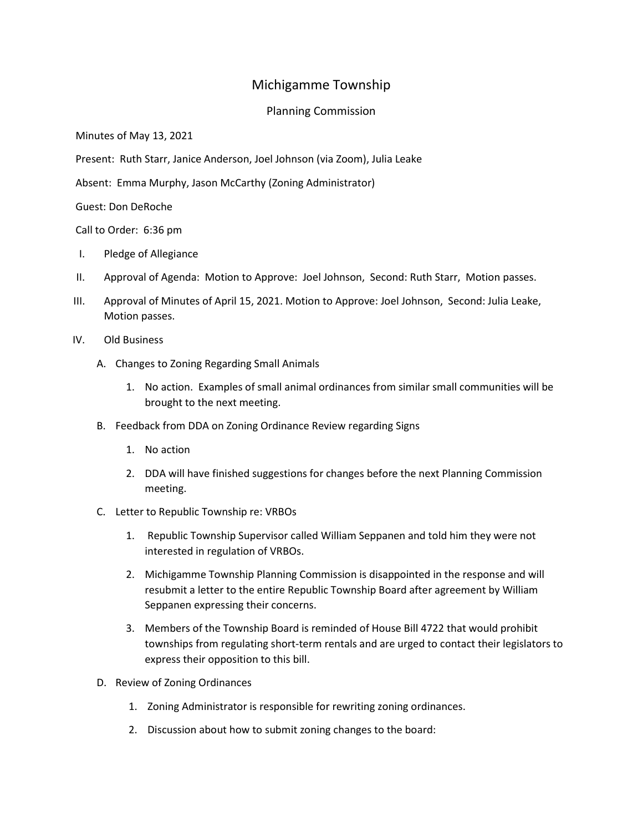## Michigamme Township

## Planning Commission

Minutes of May 13, 2021

Present: Ruth Starr, Janice Anderson, Joel Johnson (via Zoom), Julia Leake

Absent: Emma Murphy, Jason McCarthy (Zoning Administrator)

Guest: Don DeRoche

Call to Order: 6:36 pm

- I. Pledge of Allegiance
- II. Approval of Agenda: Motion to Approve: Joel Johnson, Second: Ruth Starr, Motion passes.
- III. Approval of Minutes of April 15, 2021. Motion to Approve: Joel Johnson, Second: Julia Leake, Motion passes.
- IV. Old Business
	- A. Changes to Zoning Regarding Small Animals
		- 1. No action. Examples of small animal ordinances from similar small communities will be brought to the next meeting.
	- B. Feedback from DDA on Zoning Ordinance Review regarding Signs
		- 1. No action
		- 2. DDA will have finished suggestions for changes before the next Planning Commission meeting.
	- C. Letter to Republic Township re: VRBOs
		- 1. Republic Township Supervisor called William Seppanen and told him they were not interested in regulation of VRBOs.
		- 2. Michigamme Township Planning Commission is disappointed in the response and will resubmit a letter to the entire Republic Township Board after agreement by William Seppanen expressing their concerns.
		- 3. Members of the Township Board is reminded of House Bill 4722 that would prohibit townships from regulating short-term rentals and are urged to contact their legislators to express their opposition to this bill.
	- D. Review of Zoning Ordinances
		- 1. Zoning Administrator is responsible for rewriting zoning ordinances.
		- 2. Discussion about how to submit zoning changes to the board: